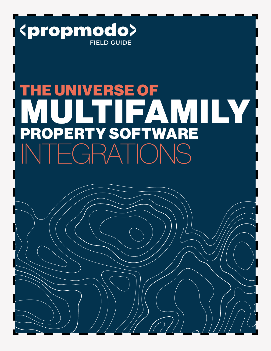

# E UNIVERSE OF MULTIFAMILY PROPERTY SOFTWARE INTEGRATIONS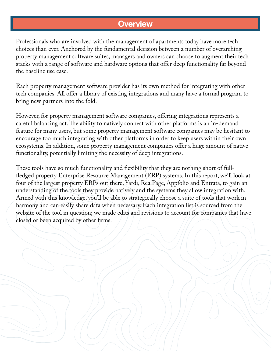## **Overview**

Professionals who are involved with the management of apartments today have more tech choices than ever. Anchored by the fundamental decision between a number of overarching property management software suites, managers and owners can choose to augment their tech stacks with a range of software and hardware options that offer deep functionality far beyond the baseline use case.

Each property management software provider has its own method for integrating with other tech companies. All offer a library of existing integrations and many have a formal program to bring new partners into the fold.

However, for property management software companies, offering integrations represents a careful balancing act. The ability to natively connect with other platforms is an in-demand feature for many users, but some property management software companies may be hesitant to encourage too much integrating with other platforms in order to keep users within their own ecosystems. In addition, some property management companies offer a huge amount of native functionality, potentially limiting the necessity of deep integrations.

These tools have so much functionality and flexibility that they are nothing short of fullfledged property Enterprise Resource Management (ERP) systems. In this report, we'll look at four of the largest property ERPs out there, Yardi, RealPage, Appfolio and Entrata, to gain an understanding of the tools they provide natively and the systems they allow integration with. Armed with this knowledge, you'll be able to strategically choose a suite of tools that work in harmony and can easily share data when necessary. Each integration list is sourced from the website of the tool in question; we made edits and revisions to account for companies that have closed or been acquired by other firms.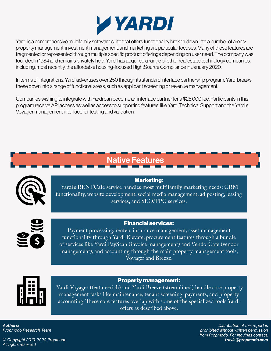

Yardi is a comprehensive multifamily software suite that offers functionality broken down into a number of areas: property management, investment management, and marketing are particular focuses. Many of these features are fragmented or represented through multiple specific product offerings depending on user need. The company was founded in 1984 and remains privately held. Yardi has acquired a range of other real estate technology companies, including, most recently, the affordable housing-focused RightSource Compliance in January 2020.

In terms of integrations, Yardi advertises over 250 through its standard interface partnership program. Yardi breaks these down into a range of functional areas, such as applicant screening or revenue management.

Companies wishing to integrate with Yardi can become an interface partner for a \$25,000 fee. Participants in this program receive API access as well as access to supporting features, like Yardi Technical Support and the Yardi's Voyager management interface for testing and validation.

# Native Features



## Marketing:

 Yardi's RENTCafé service handles most multifamily marketing needs: CRM functionality, website development, social media management, ad posting, leasing services, and SEO/PPC services.



Payment processing, renters insurance management, asset management functionality through Yardi Elevate, procurement features through a bundle of services like Yardi PayScan (invoice management) and VendorCafe (vendor management), and accounting through the main property management tools, Voyager and Breeze.

## Property management:

 Yardi Voyager (feature-rich) and Yardi Breeze (streamlined) handle core property management tasks like maintenance, tenant screening, payments, and property accounting. These core features overlap with some of the specialized tools Yardi offers as described above.

*Authors: Propmodo Research Team*

*Distribution of this report is prohibited without written permission from Propmodo. For inquiries contact: travis@propmodo.com*

*© Copyright 2019-2020 Propmodo All rights reserved*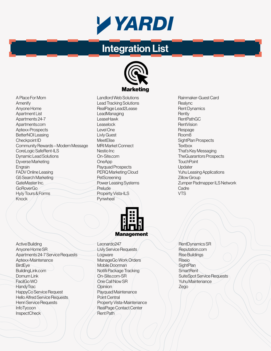

# Integration List



A Place For Mom Amenify Anyone Home Apartment List Apartments 24-7 Apartments.com Aptexx-Prospects BetterNOI Leasing Checkpoint ID Community Rewards – Modern Message CoreLogic SafeRent-ILS Dynamic Lead Solutions Dyverse Marketing **Engrain** FADV Online Leasing G5 Search Marketing GateMaster Inc. GoRoverGo Hy.ly Tours & Forms Knock

Active Building Anyone Home SR Apartments 24-7 Service Requests Aptexx-Maintenance BirdEye BuildingLink.com Domum Link FacilGo WO **HandvTrac** HappyCo Service Request Hello Alfred Service Requests Henri Service Requests **InfoTycoon InspectCheck** 

Landlord Web Solutions Lead Tracking Solutions RealPage Lead2Lease **LeadManaging** LeaseHawk Leaselock Level One Livly Guest **MeetFlise** MRI Market Connect Nestio Inc On-Site.com **OneApp** Payquad Prospects PERQ Marketing Cloud **PetScreening** Power Leasing Systems Prelude Property Vista-ILS Pynwheel

Management

Leonardo247 Livly Service Requests Logware ManageGo Work Orders Mobile Doorman Notifii Package Tracking On-Site.com-SR One Call Now SR **Opiniion** Payquad Maintenance Point Central Property Vista-Maintenance RealPage Contact Center Rent Path

RentDynamics SR Reputation.com Rise Buildings Riseio **SightPlan SmartRent** SuiteSpot Service Requests Yuhu Maintenance Zego

Rainmaker-Guest Card **Realync** Rent Dynamics **Rently** RentPathGC RentVision Respage Room8 SightPlan Prospects **Textbox** That's Key Messaging TheGuarantors Prospects **TouchPoint** Updater Yuhu Leasing Applications Zillow Group Zumper Padmapper ILS Network **Cadre** VTS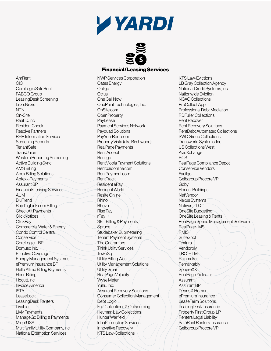



### Financial/Leasing Services

AmRent CIC CoreLogic SafeRent FABCO Group LeasingDesk Screening LexisNexis NTN On-Site Real ID, Inc. ResidentCheck Resolve Partners RHR Information Services Screening Reports **TenantSafe TransLInion** Western Reporting Screening Active Building Sync AMS Billing Apex Billing Solutions Aptexx-Payments Assurant BP Financial/Leasing Services **AVM BluTrend** BuildingLink.com Billing CheckAlt Payments **ClickNotices ClickPay** Commercial Water & Energy Condo Control Central **Conservice** CoreLogic – BP Domuso Inc. Effective Coverage Energy Management Systems ePremium Insurance BP Hello Alfred Billing Payments Henri Billing Hocutt, Inc. Invoice America ISTA LeaseLock LeasingDesk Renters Livable Livly Payments ManageGo Billing & Payments Minol USA Multifamily Utility Company, Inc. National Exemption Services

NWP Services Corporation Oates Energy Obligo Ocius One Call Now OnePoint Technologies, Inc. OnSite.com **OpenProperty PayLease** Payment Services Network Payquad Solutions PayYourRent.com Property Vista (aka Birchwood) RealPage Payments Rent Accept Rentigo RentMoola Payment Solutions Rentpaidonline.com RentPayment.com RentTrack Resident ePay Resident World Resite Online **Rhino Rhove** Rise Pay rPay SET Billing & Payments Spruce Studebaker Submetering Tenant Payment Systems The Guarantors Think Utility Services **TownSq** Utility Billing West Utility Management Solutions Utility Smart RealPage Velocity Wyse Meter Yuhu, Inc. Assurant Recovery Solutions Consumer Collection Management Debt Logic Fair Collections & Outsourcing Heyman Law Collections Hunter Warfield Ideal Collection Services Innovative Recovery KTS Law-Collections

KTS Law-Evictions LB Gray Collection Agency National Credit Systems, Inc. Nationwide Eviction NCAC Collections ProCollect App Professional Debt Mediation RDFuller Collections Rent Recover Rent Recovery Solutions RentDebt Automated Collections SWC Group Collections Transworld Systems, Inc. US Collections West **AvidXchange** BCS RealPage Compliance Depot Conservice Vendors **Facilgo** Gelbgroup Procore VP Goby Honest Buildings NetVendor Nexus Systems Notivus, LLC OneSite Budgeting OneSite Leasing & Rents RealPage Spend Management Software RealPage-IMS **RMIS SuiteSpot Textura Vendorply** LRO-HTM Rainmaker **Remarkably SphereXX** RealPage Yieldstar Assurant Assurant BP Deans & Homer ePremium Insurance LeaseTerm Solutions LeasingDesk Insurance Property First Group, LP Renters Legal Liability SafeRent Renters Insurance Gelbgroup Procore VP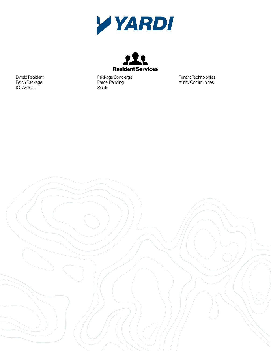



Package Concierge Parcel Pending Snaile

Tenant Technologies Xfinity Communities

Dwelo Resident Fetch Package IOTAS Inc.

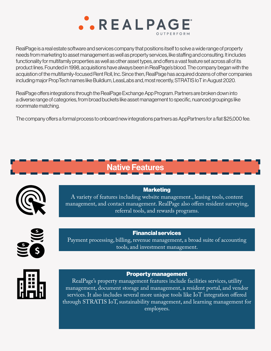

RealPage is a real estate software and services company that positions itself to solve a wide range of property needs from marketing to asset management as well as property services, like staffing and consulting. It includes functionality for multifamily properties as well as other asset types, and offers a vast feature set across all of its product lines. Founded in 1998, acquisitions have always been in RealPage's blood. The company began with the acquistion of the multifamily-focused Rent Roll, Inc. Since then, RealPage has acquired dozens of other companies including major PropTech names like Buildium, LeasLabs and, most recently, STRATIS IoT in August 2020.

RealPage offers integrations through the RealPage Exchange App Program. Partners are broken down into a diverse range of categories, from broad buckets like asset management to specific, nuanced groupings like roommate matching.

The company offers a formal process to onboard new integrations partners as AppPartners for a flat \$25,000 fee.

# Native Features



**Marketing** A variety of features including website management., leasing tools, content management, and contact management. RealPage also offers resident surveying, referral tools, and rewards programs.



## Financial services

Payment processing, billing, revenue management, a broad suite of accounting tools, and investment management.



### Property management

RealPage's property management features include facilities services, utility management, document storage and management, a resident portal, and vendor services. It also includes several more unique tools like IoT integration offered through STRATIS IoT, sustainability management, and learning management for employees.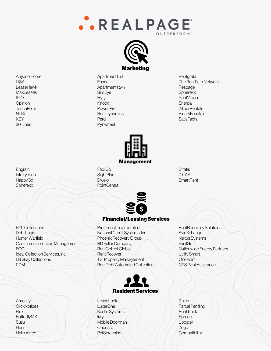



Anyone Home LISA LeaseHawk MaxLeases IRIO **Opinion TouchPoint** Notifi KEY 301 ines

Apartment List Funnel Apartments 247 BirdEye Hy.ly Knock Power Pro **RentDynamics** Perq Pynwheel

**Rentgrata** The RentPath Network Respage **Spherexx RentVision Sherpa** Zillow Rentals **BinaryFountain SatisFacts** 



Engrain InfoTycoon HappyCo **Spherexx** 

BYL Collections Debt Logic Hunter Warfield Consumer Collection Management FCO Ideal Collection Services, Inc. LB Gray Collections PDM

**Amenify ClickNotices** Flex. ButterflyMX **Susu Henri** Hello Alfred

FacilGo **SightPlan** Dwelo **PointCentral** 



## Financial/Leasing Services

ProCollect Incorporated National Credit Systems, Inc. Phoenix Recovery Group RD Fuller Company RentCollect Global Rent Recover TSI Property Management RentDebt Automated Collections



LeaseLock LuxerOne Kastle Systems livly Mobile Doorman **Onboard PetScreening** 

**Stratis** IOTAS **SmartRent** 

RentRecovery Solutions AvidXchange Nexus Systems FacilGo Nationwide Energy Partners Utility Smart **OnePoint** NPS Rent Assurance

Rhino Parcel Pending **RentTrack Spruce** Updater Zego **Compatibility**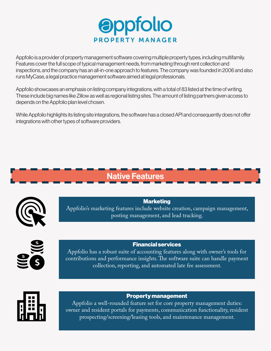

Appfolio is a provider of property management software covering multiple property types, including multifamily. Features cover the full scope of typical management needs, from marketing through rent collection and inspections, and the company has an all-in-one approach to features. The company was founded in 2006 and also runs MyCase, a legal practice management software aimed at legal professionals.

Appfolio showcases an emphasis on listing company integrations, with a total of 83 listed at the time of writing. These include big names like Zillow as well as regional listing sites. The amount of listing partners given access to depends on the Appfolio plan level chosen.

While Appfolio highlights its listing site integrations, the software has a closed API and consequently does not offer integrations with other types of software providers.





**Marketing** Appfolio's marketing features include website creation, campaign management, posting management, and lead tracking.



Financial services

Appfolio has a robust suite of accounting features along with owner's tools for contributions and performance insights. The software suite can handle payment collection, reporting, and automated late fee assessment.



## Property management

Appfolio a well-rounded feature set for core property management duties: owner and resident portals for payments, communication functionality, resident prospecting/screening/leasing tools, and maintenance management.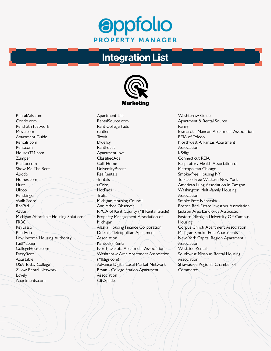## **Oppfolio PROPERTY MANAGER**

## Integration List



RentalAds.com Condo.com RentPath Network Move.com Apartment Guide Rentals.com Rent.com Houses321.com Zumper Realtor.com Show Me The Rent Abodo Homes.com **Hunt** Uloop RentLingo Walk Score RadPad Attlus Michigan Affordable Housing Solutions FRBO KeyLasso RentHop Low Income Housing Authority PadMapper CollegeHouse.com EveryRent Apartable USA Today College Zillow Rental Network Lovely Apartments.com

Apartment List RentalSource.com Rent College Pads rentler **Trovit** Dwellsy **RentFocus ApartmentLove** ClassifiedAds **CallitHome** UniversityParent **RealRentals Trintals** uCribs **HotPads** Trulia Michigan Housing Council Ann Arbor Observer RPOA of Kent County (MI Rental Guide) Property Management Association of **Michigan** Alaska Housing Finance Corporation Detroit Metropolitan Apartment Association Kentucky Rents North Dakota Apartment Association Washtenaw Area Apartment Association (MIdigs.com) Advance Digital Local Market Network Bryan - College Station Apartment Association **CitySpade** 

Washtenaw Guide Apartment & Rental Source Renvy Bismarck - Mandan Apartment Association REIA of Toledo Northwest Arkansas Apartment Association KSdigs Connecticut REIA Respiratory Health Association of Metropolitan Chicago Smoke-free Housing NY Tobacco-Free Western New York American Lung Association in Oregon Washington Multi-family Housing Association Smoke Free Nebraska Boston Real Estate Investors Association Jackson Area Landlords Association Eastern Michigan University Off-Campus **Housing** Corpus Christi Apartment Association Michigan Smoke-Free Apartments New York Capital Region Apartment Association Westside Rentals Southwest Missouri Rental Housing Association Shiawassee Regional Chamber of **Commerce**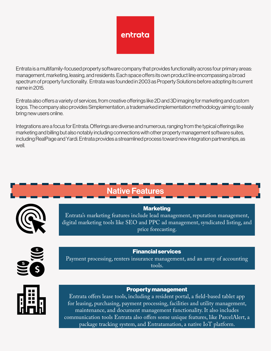

Entrata is a multifamily-focused property software company that provides functionality across four primary areas: management, marketing, leasing, and residents. Each space offers its own product line encompassing a broad spectrum of property functionality. Entrata was founded in 2003 as Property Solutions before adopting its current name in 2015.

Entrata also offers a variety of services, from creative offerings like 2D and 3D imaging for marketing and custom logos. The company also provides Simplementation, a trademarked implementation methodology aiming to easily bring new users online.

Integrations are a focus for Entrata. Offerings are diverse and numerous, ranging from the typical offerings like marketing and billing but also notably including connections with other property management software suites, including RealPage and Yardi. Entrata provides a streamlined process toward new integration partnerships, as well.

| <b>Native Features</b> |                                                                                                                                                                                                           |
|------------------------|-----------------------------------------------------------------------------------------------------------------------------------------------------------------------------------------------------------|
| <b>KER</b>             | <b>Marketing</b><br>Entrata's marketing features include lead management, reputation management,<br>digital marketing tools like SEO and PPC ad management, syndicated listing, and<br>price forecasting. |
|                        | <b>Financial services</b><br>Payment processing, renters insurance management, and an array of accounting<br>tools.                                                                                       |
|                        | <b>Property management</b><br>Entrate offers lease tools, including a resident portal a field-based tablet ann                                                                                            |

lilël

Entrata offers lease tools, including a resident portal, a field-based tablet app for leasing, purchasing, payment processing, facilities and utility management, maintenance, and document management functionality. It also includes communication tools Entrata also offers some unique features, like ParcelAlert, a package tracking system, and Entratamation, a native IoT platform.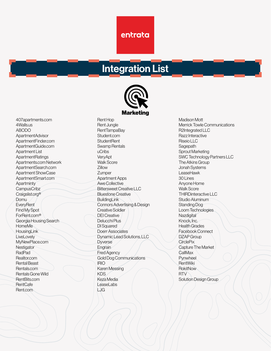## entrata

## Integration List



407apartments.com 4Walls.us ABODO ApartmentAdvisor ApartmentFinder.com ApartmentGuide.com Apartment List **ApartmentRatings** Apartments.com Network ApartmentSearch.com Apartment ShowCase ApartmentSmart.com **Apartminty CampusCribz** Craigslist.org® Domu **EveryRent** Find My Spot ForRent.com® Georgia Housing Search HomeMe **HousingLink LiveLovely** MyNewPlace.com **Nestigator** RadPad Realtor.com Rental Beast Rentals.com Rentals Gone Wild RentBits.com RentCafe Rent.com

Rent Hop Rent Jungle RentTampaBay Student.com **StudentRent** Swamp Rentals uCribs **VervApt** Walk Score Zillow **Zumper** Apartment Apps Awe Collective Bittersweet Creative LLC Bluestone Creative **BuildingLink** Connors Advertising & Design Creative Soldier DEI Creative Delucchi Plus DI Squared Doerr Associates Dynamic Lead Solutions, LLC **Dyverse Engrain** Fred Agency Gold Dog Communications IRIO Karen Messing KDS Keza Media LeaseLabs LJG

Madison Mott Merrick Towle Communications R2Integrated LLC Razz Interactive Riseio LLC Sagepath Sprout Marketing SWC Technology Partners LLC The Atkins Group Jonah Systems LeaseHawk 30 Lines Anyone Home Walk Score THIRDinteractive LLC Studio Aluminum Standing Dog Loom Technologies **Nazdigital** Knock, Inc. Health Grades Facebook Connect DZAP Group **CirclePix** Capture The Market **CallMax Pynwheel** RentWiki **RokitNow** RTV Solution Design Group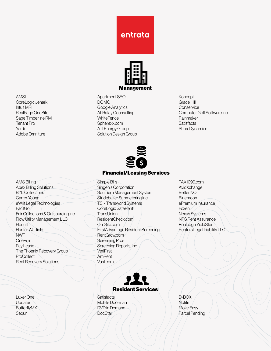



Apartment SEO DOMO Google Analytics Al-Rafay Counsulting **WhiteFence** Spherexx.com ATI Energy Group Solution Design Group Koncept Grace Hill **Conservice** Computer Golf Software Inc. Rainmaker **Satisfacts ShareDynamics** 

Financial/Leasing Services

Simple Bills Singenis Corporation Southern Management System Studebaker Submetering Inc. TSI - Transworld Systems CoreLogic SafeRent **TransUnion** ResidentCheck.com On-Site.com FirstAdvantage Resident Screening RentGrow.com Screening Pros Screening Reports, Inc. VeriFirst AmRent Vast.com



**Satisfacts** Mobile Doorman DVD in Demand DocStar

TAX1099.com AvidXchange Better NOI **Bluemoon** ePremium Insurance Foxen Nexus Systems NPS Rent Assurance Realpage YieldStar Renters Legal Liability LLC

D-BOX **Notifii** Move Easy Parcel Pending

CoreLogic Jenark Intuit MRI RealPage OneSite Sage Timberline RM Tenant Pro Yardi Adobe Omniture

AMSI

AMS Billing Apex Billing Solutions BYL Collections Carter-Young eWrit Legal Technologies **FacilGo** Fair Collections & Outsourcing Inc. Flow Utility Management LLC **Hocutt** Hunter Warfield NWP **OnePoint** Pay Lease The Phoenix Recovery Group **ProCollect** Rent Recovery Solutions

Luxer One Updater **ButterflyMX** Sequr